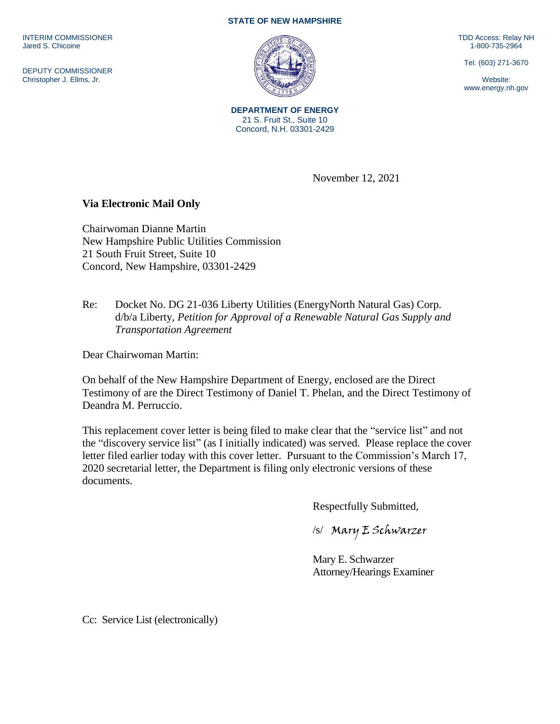INTERIM COMMISSIONER Jared S. Chicoine

DEPUTY COMMISSIONER Christopher J. Ellms, Jr.

## **STATE OF NEW HAMPSHIRE**



**DEPARTMENT OF ENERGY** 21 S. Fruit St., Suite 10 Concord, N.H. 03301-2429

TDD Access: Relay NH 1-800-735-2964

Tel. (603) 271-3670

Website: www.energy.nh.gov

**Via Electronic Mail Only**

Chairwoman Dianne Martin New Hampshire Public Utilities Commission 21 South Fruit Street, Suite 10 Concord, New Hampshire, 03301-2429

Re: Docket No. DG 21-036 Liberty Utilities (EnergyNorth Natural Gas) Corp. d/b/a Liberty, *Petition for Approval of a Renewable Natural Gas Supply and Transportation Agreement*

Dear Chairwoman Martin:

On behalf of the New Hampshire Department of Energy, enclosed are the Direct Testimony of are the Direct Testimony of Daniel T. Phelan, and the Direct Testimony of Deandra M. Perruccio.

This replacement cover letter is being filed to make clear that the "service list" and not the "discovery service list" (as I initially indicated) was served. Please replace the cover letter filed earlier today with this cover letter. Pursuant to the Commission's March 17, 2020 secretarial letter, the Department is filing only electronic versions of these documents.

Respectfully Submitted,

November 12, 2021

/s/Mary E Schwarzer

Mary E. Schwarzer Attorney/Hearings Examiner

Cc: Service List (electronically)